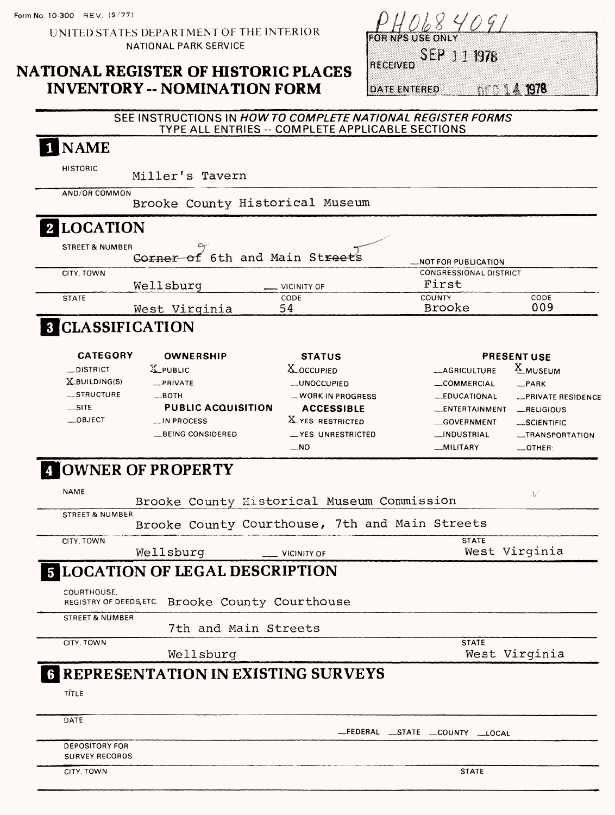UNITED STATES DEPARTMENT OF THE INTERIOR NATIONAL PARK SERVICE

### **NATIONAL REGISTER OF HISTORIC PLACES INVENTORY -- NOMINATION FORM**

|  | 20 I I QE LI MILI |  |  |
|--|-------------------|--|--|

SEP 1 1 1978 **RECEIVED** 

**DATE ENTERED** 

**DER 14 1978** 

### **SEE INSTRUCTIONS IN HOWTO COMPLETE NATIONAL REGISTER FORMS TYPE ALL ENTRIES - COMPLETE APPLICABLE SECTIONS** I NAME **HISTORIC** Miller's Tavern **AND/OR COMMON** Brooke County Historical Museum 2 LOCATION **STREET & NUMBER** Corner of 6th and Main Streets **-NOT FOR PUBLICATION** CITY, TOWN CONGRESSIONAL DISTRICT  $m = 1$

|              | Wellsburg     | $\frac{1}{2}$ VICINITY OF | First                   |             |  |
|--------------|---------------|---------------------------|-------------------------|-------------|--|
| <b>STATE</b> |               | CODE<br>54                | <b>COUNTY</b><br>Brooke | CODE<br>009 |  |
| -----        | West Virginia |                           |                         |             |  |

# 8 CLASSIFICATION

| <b>CATEGORY</b>  | <b>OWNERSHIP</b>          | <b>STATUS</b>            |                       | <b>PRESENT USE</b> |
|------------------|---------------------------|--------------------------|-----------------------|--------------------|
| <b>DISTRICT</b>  | X PUBLIC                  | $\Delta$ OCCUPIED        | <b>_AGRICULTURE</b>   | A_MUSEUM           |
| X BUILDING(S)    | $R$ PRIVATE               | <b>LUNOCCUPIED</b>       | COMMERCIAL            | $-$ PARK           |
| <b>STRUCTURE</b> | $\_$ BOTH                 | -WORK IN PROGRESS        | _EDUCATIONAL          | -PRIVATE RESIDENCE |
| $\equiv$ SITE    | <b>PUBLIC ACQUISITION</b> | <b>ACCESSIBLE</b>        | <b>LENTERTAINMENT</b> | RELIGIOUS          |
| $-$ OBJECT       | $\Box$ IN PROCESS         | <b>X_YES: RESTRICTED</b> | GOVERNMENT            | $-SCIENTIFIC$      |
|                  | BEING CONSIDERED          | -YES UNRESTRICTED        | _INDUSTRIAL           | -TRANSPORTATION    |
|                  |                           | $-NO$                    | __MILITARY            | $-$ OTHER:         |

## **OWNER OF PROPERTY**

| <b>NAME</b>                |                                                  |                           |  |                                | V             |
|----------------------------|--------------------------------------------------|---------------------------|--|--------------------------------|---------------|
|                            | Brooke County Historical Museum Commission       |                           |  |                                |               |
| <b>STREET &amp; NUMBER</b> |                                                  |                           |  |                                |               |
|                            | Brooke County Courthouse, 7th and Main Streets   |                           |  |                                |               |
| CITY, TOWN                 |                                                  |                           |  | <b>STATE</b>                   |               |
|                            | Wellsburg                                        | $\frac{1}{2}$ VICINITY OF |  |                                | West Virginia |
|                            | <b>5 LOCATION OF LEGAL DESCRIPTION</b>           |                           |  |                                |               |
|                            |                                                  |                           |  |                                |               |
| COURTHOUSE.                |                                                  |                           |  |                                |               |
|                            | REGISTRY OF DEEDS, ETC. Brooke County Courthouse |                           |  |                                |               |
| <b>STREET &amp; NUMBER</b> |                                                  |                           |  |                                |               |
|                            |                                                  | 7th and Main Streets      |  |                                |               |
| CITY, TOWN                 |                                                  |                           |  | <b>STATE</b>                   |               |
|                            | Wellsburg                                        |                           |  |                                | West Virginia |
|                            | <b>6 REPRESENTATION IN EXISTING SURVEYS</b>      |                           |  |                                |               |
|                            |                                                  |                           |  |                                |               |
| TITLE                      |                                                  |                           |  |                                |               |
|                            |                                                  |                           |  |                                |               |
| DATE                       |                                                  |                           |  |                                |               |
|                            |                                                  |                           |  | _FEDERAL _STATE _COUNTY _LOCAL |               |
| <b>DEPOSITORY FOR</b>      |                                                  |                           |  |                                |               |
| <b>SURVEY RECORDS</b>      |                                                  |                           |  |                                |               |
| CITY, TOWN                 |                                                  |                           |  | <b>STATE</b>                   |               |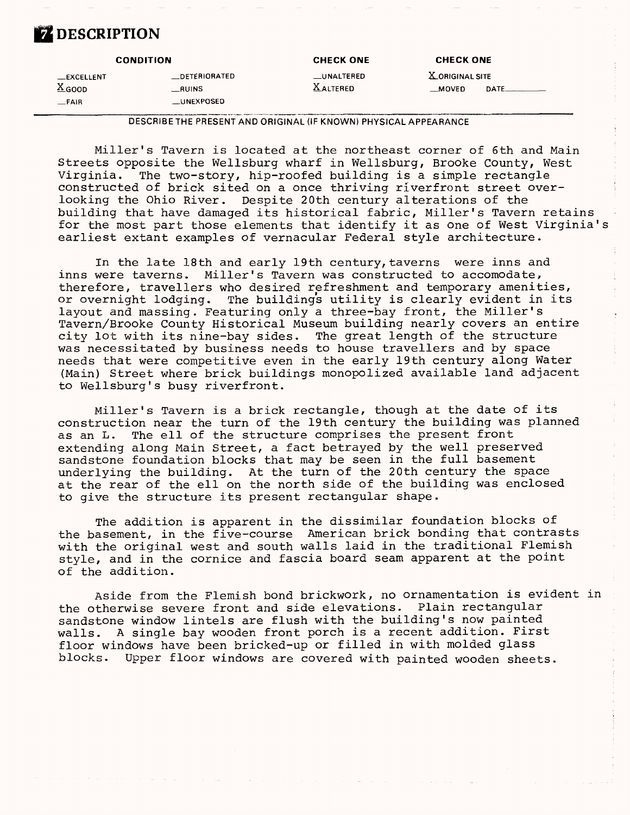### **Z** DESCRIPTION

| <b>CONDITION</b>  |                  | <b>CHECK ONE</b><br><b>CHECK ONE</b> |                 |  |
|-------------------|------------------|--------------------------------------|-----------------|--|
| _EXCELLENT        | DETERIORATED     | <b>UNALTERED</b>                     | X ORIGINAL SITE |  |
| $X_{\text{GOOD}}$ | <b>RUINS</b>     | <b>XALTERED</b>                      | <b>MOVED</b>    |  |
| $-FAIR$           | <b>UNEXPOSED</b> |                                      |                 |  |

DESCRIBETHE PRESENT AND ORIGINAL (IF KNOWN) PHYSICAL APPEARANCE

Miller's Tavern is located at the northeast corner of 6th and Main Streets opposite the Wellsburg wharf in Wellsburg, Brooke County, West<br>Virginia. The two-story, hip-roofed building is a simple rectangle The two-story, hip-roofed building is a simple rectangle constructed of brick sited on a once thriving riverfront street overlooking the Ohio River. Despite 20th century alterations of the building that have damaged its historical fabric, Miller's Tavern retains for the most part those elements that identify it as one of West Virginia's earliest extant examples of vernacular Federal style architecture.

In the late 18th and early 19th century, taverns were inns and inns were taverns. Miller's Tavern was constructed to accomodate, therefore, travellers who desired refreshment and temporary amenities, or overnight lodging. The buildings utility is clearly evident in its layout and massing. Featuring only a three-bay front, the Miller's Tavern/Brooke County Historical Museum building nearly covers an entire city lot with its nine-bay sides. The great length of the structure was necessitated by business needs to house travellers and by space needs that were competitive even in the early 19th century along Water (Main) Street where brick buildings monopolized available land adjacent to Wellsburg's busy riverfront.

Miller's Tavern is a brick rectangle, though at the date of its construction near the turn of the 19th century the building was planned as an L. The ell of the structure comprises the present front extending along Main Street, a fact betrayed by the well preserved sandstone foundation blocks that may be seen in the full basement underlying the building. At the turn of the 20th century the space at the rear of the ell on the north side of the building was enclosed to give the structure its present rectangular shape.

The addition is apparent in the dissimilar foundation blocks of the basement, in the five-course American brick bonding that contrasts with the original west and south walls laid in the traditional Flemish style, and in the cornice and fascia board seam apparent at the point of the addition.

Aside from the Flemish bond brickwork, no ornamentation is evident in the otherwise severe front and side elevations. Plain rectangular sandstone window lintels are flush with the building's now painted walls. A single bay wooden front porch is a recent addition. First floor windows have been bricked-up or filled in with molded glass blocks. Upper floor windows are covered with painted wooden sheets.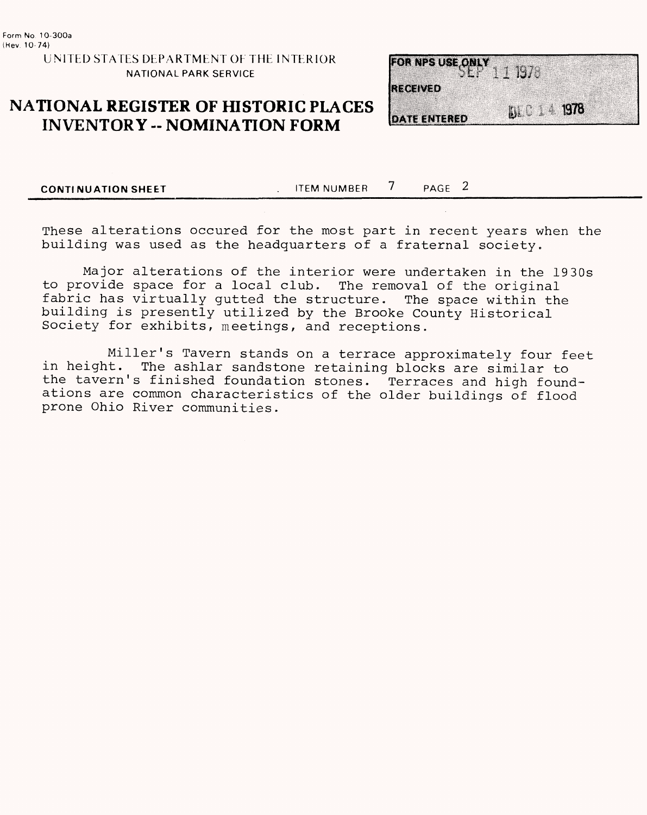UNITED STATES DEPARTMENT OP THE INTERIOR NATIONAL PARK SERVICE

### **NATIONAL REGISTER OF HISTORIC PLACES INVENTORY -- NOMINATION FORM**



**CONTINUATION SHEET** TEM NUMBER 7 PAGE 2

These alterations occured for the most part in recent years when the building was used as the headquarters of a fraternal society.

Major alterations of the interior were undertaken in the 1930s to provide space for a local club. The removal of the original fabric has virtually gutted the structure. The space within the building is presently utilized by the Brooke County Historical Society for exhibits, meetings, and receptions.

Miller's Tavern stands on a terrace approximately four feet in height. The ashlar sandstone retaining blocks are similar to the tavern's finished foundation stones. Terraces and high foundations are common characteristics of the older buildings of flood prone Ohio River communities.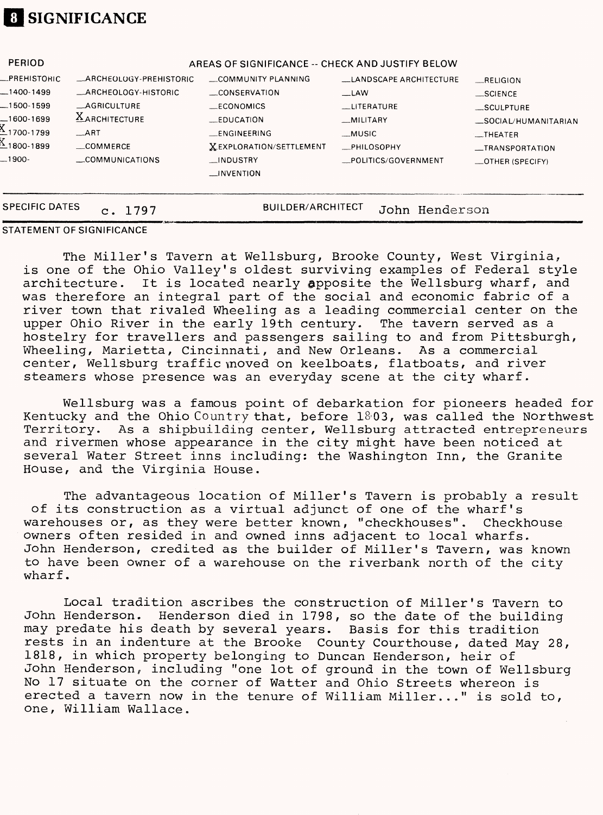## **8 SIGNIFICANCE**

| <b>PERIOD</b>                                                                                          |                                                                                                                                  | AREAS OF SIGNIFICANCE -- CHECK AND JUSTIFY BELOW                                                                                                           |                                                                                                                            |                                                                                                                           |  |
|--------------------------------------------------------------------------------------------------------|----------------------------------------------------------------------------------------------------------------------------------|------------------------------------------------------------------------------------------------------------------------------------------------------------|----------------------------------------------------------------------------------------------------------------------------|---------------------------------------------------------------------------------------------------------------------------|--|
| _PREHISTORIC<br>_1400-1499<br>$-1500-1599$<br>$-1600-1699$<br>$21700 - 1799$<br>1800-1899∆<br>$-1900-$ | _ARCHEOLOGY-PREHISTORIC<br>_ARCHEOLOGY-HISTORIC<br>AGRICULTURE<br><b>XARCHITECTURE</b><br>$-ART$<br>__COMMERCE<br>COMMUNICATIONS | COMMUNITY PLANNING<br>CONSERVATION<br>ECONOMICS<br>—EDUCATION<br>__ENGINEERING<br><b>XEXPLORATION/SETTLEMENT</b><br>__INDUSTRY<br>$\blacksquare$ INVENTION | LANDSCAPE ARCHITECTURE<br>$\Box$ LAW<br>__LITERATURE<br>__MILITARY<br>__MUSIC<br><b>PHILOSOPHY</b><br>_POLITICS/GOVERNMENT | RELIGION<br>__SCIENCE<br>_SCULPTURE<br>SOCIAL/HUMANITARIAN<br>$_{\text{}}$ THEATER<br>-TRANSPORTATION<br>_OTHER (SPECIFY) |  |
| <b>SPECIFIC DATES</b><br><b>BUILDER/ARCHITECT</b><br>John Henderson<br>c. 1797                         |                                                                                                                                  |                                                                                                                                                            |                                                                                                                            |                                                                                                                           |  |

#### **STATEMENT OF SIGNIFICANCE**

The Miller's Tavern at Wellsburg, Brooke County, West Virginia, is one of the Ohio Valley's oldest surviving examples of Federal style architecture. It is located nearly apposite the Wellsburg wharf, and was therefore an integral part of the social and economic fabric of a river town that rivaled Wheeling as a leading commercial center on the upper Ohio River in the early 19th century. The tavern served as a hostelry for travellers and passengers sailing to and from Pittsburgh, Wheeling, Marietta, Cincinnati, and New Orleans. As a commercial center, Wellsburg traffic moved on keelboats, flatboats, and river steamers whose presence was an everyday scene at the city wharf.

Wellsburg was a famous point of debarkation for pioneers headed for Kentucky and the Ohio Country that, before 1803, was called the Northwest<br>Territory. As a shipbuilding center, Wellsburg attracted entrepreneurs As a shipbuilding center, Wellsburg attracted entrepreneurs and rivermen whose appearance in the city might have been noticed at several Water Street inns including: the Washington Inn, the Granite House, and the Virginia House.

The advantageous location of Miller's Tavern is probably a result of its construction as a virtual adjunct of one of the wharf's warehouses or, as they were better known, "checkhouses". Checkhouse owners often resided in and owned inns adjacent to local wharfs. John Henderson, credited as the builder of Miller's Tavern, was known to have been owner of a warehouse on the riverbank north of the city wharf.

Local tradition ascribes the construction of Miller's Tavern to John Henderson. Henderson died in 1798, so the date of the building may predate his death by several years. Basis for this tradition rests in an indenture at the Brooke County Courthouse, dated May 28, 1818, in which property belonging to Duncan Henderson, heir of John Henderson, including "one lot of ground in the town of Wellsburg No 17 situate on the corner of Watter and Ohio Streets whereon is erected a tavern now in the tenure of William Miller..." is sold to, one, William Wallace.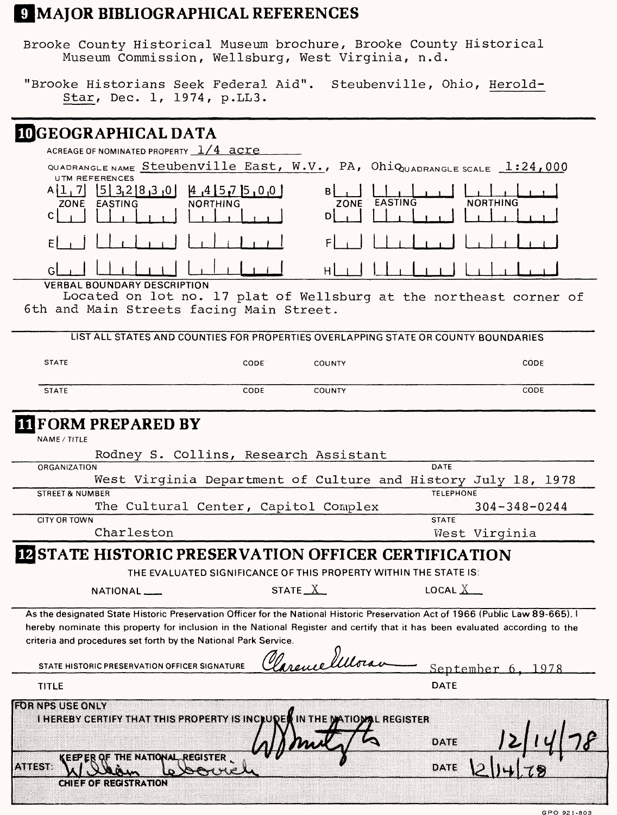### **UMAJOR BIBLIOGRAPHICAL REFERENCES**

Brooke County Historical Museum brochure, Brooke County Historical Museum Commission, Wellsburg, West Virginia, n.d.

"Brooke Historians Seek Federal Aid". Steubenville, Ohio, Herold-Star, Dec. 1, 1974, p.LLS.

## **DGEOGRAPHICAL DATA**

ACREAGE OF NOMINATED PROPERTY **1/4 acre\_\_\_\_\_\_** QUADRANGLE NAME Steubenville East, W.V., PA, OhiQ<sub>UADRANGLE SCALE</sub> 1:24,000 **UTM REFERENCES**

| $A[1, 7]$ $[5]3, 2[8, 3, 0]$ $[4, 4[5, 7]5, 0, 0]$<br>EASTING<br><b>ZONE</b> | <b>NORTHING</b>                                                                                                 | B<br>ZONE EASTING NORTHING |  |
|------------------------------------------------------------------------------|-----------------------------------------------------------------------------------------------------------------|----------------------------|--|
|                                                                              | the contract of the contract of the contract of the contract of the contract of the contract of the contract of |                            |  |

**r.l , I I I i I . i I I , i I • i I H! i I I I i I i i I I . I . I . i I**

**VERBAL BOUNDARY DESCRIPTION** Located on lot no. 17 plat of Wellsburg at the northeast corner of 6th and Main Streets facing Main Street,

| <b>STATE</b>               | CODE <sup>®</sup>                                                | COUNTY    | CODE                                                          |
|----------------------------|------------------------------------------------------------------|-----------|---------------------------------------------------------------|
|                            |                                                                  |           |                                                               |
| <b>STATE</b>               | CODE                                                             | COUNTY    | CODE                                                          |
| <b>FORM PREPARED BY</b>    |                                                                  |           |                                                               |
| NAME / TITLE               |                                                                  |           |                                                               |
|                            | Rodney S. Collins, Research Assistant                            |           |                                                               |
| ORGANIZATION               |                                                                  |           | DATE                                                          |
|                            |                                                                  |           | West Virginia Department of Culture and History July 18, 1978 |
| <b>STREET &amp; NUMBER</b> |                                                                  |           | <b>TELEPHONE</b>                                              |
|                            | The Cultural Center, Capitol Complex                             |           | $304 - 348 - 0244$                                            |
| <b>CITY OR TOWN</b>        |                                                                  |           | <b>STATE</b>                                                  |
| Charleston                 |                                                                  |           | West Virginia                                                 |
|                            | <b>STATE HISTORIC PRESERVATION OFFICER CERTIFICATION</b>         |           |                                                               |
|                            | THE EVALUATED SIGNIFICANCE OF THIS PROPERTY WITHIN THE STATE IS: |           |                                                               |
| NATIONAL___                |                                                                  | STATE $X$ | LOCAL $\underline{X}$                                         |

**criteria and procedures set forth by the National Park Service.**  $\Omega$ 

| STATE HISTORIC PRESERVATION OFFICER SIGNATURE                                 | exemelitora<br>September       |
|-------------------------------------------------------------------------------|--------------------------------|
| <b>TITLE</b>                                                                  | <b>DATE</b>                    |
| <b>FOR NPS USE ONLY</b><br><b>I HEREBY CERTIFY THAT THIS PROPERTY IS INCI</b> | <b>TIOMAL REGISTER</b><br>DATE |
| THE NATIONAL REGISTER<br><b>ATTEST:</b>                                       | DATE<br>7 G)                   |
| <b>CHIEF OF REGISTRATION</b>                                                  |                                |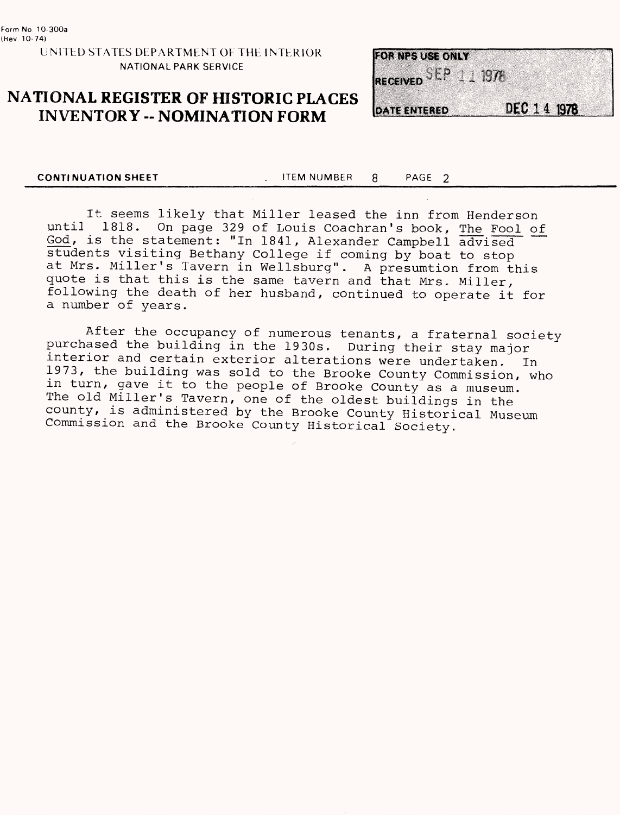#### UNITED STATES DEPARTMENT OF THE INTERIOR NATIONAL PARK SERVICE

### **NATIONAL REGISTER OF HISTORIC PLACES INVENTORY -- NOMINATION FORM**

| FOR NPS USE ONLY    |  |             |  |
|---------------------|--|-------------|--|
| RECEIVED SEP 111978 |  |             |  |
|                     |  |             |  |
| DATE ENTERED        |  | DEC 14 1978 |  |

**CONTINUATION SHEET ITEM NUMBER 8** PAGE 2

It seems likely that Miller leased the inn from Henderson until 1818. On page 329 of Louis Coachran's book, The Fool of God, is the statement: "In 1841, Alexander Campbell advised students visiting Bethany College if coming by boat to stop at Mrs. Miller's Tavern in Wellsburg". A presumtion from this quote is that this is the same tavern and that Mrs. Miller, following the death of her husband, continued to operate it for a number of years.

After the occupancy of numerous tenants, a fraternal society purchased the building in the 1930s. During their stay major interior and certain exterior alterations were undertaken, In 1973, the building was sold to the Brooke County Commission, who in turn, gave it to the people of Brooke County as a museum. The old Miller's Tavern, one of the oldest buildings in the county, is administered by the Brooke County Historical Museum Commission and the Brooke County Historical Society.